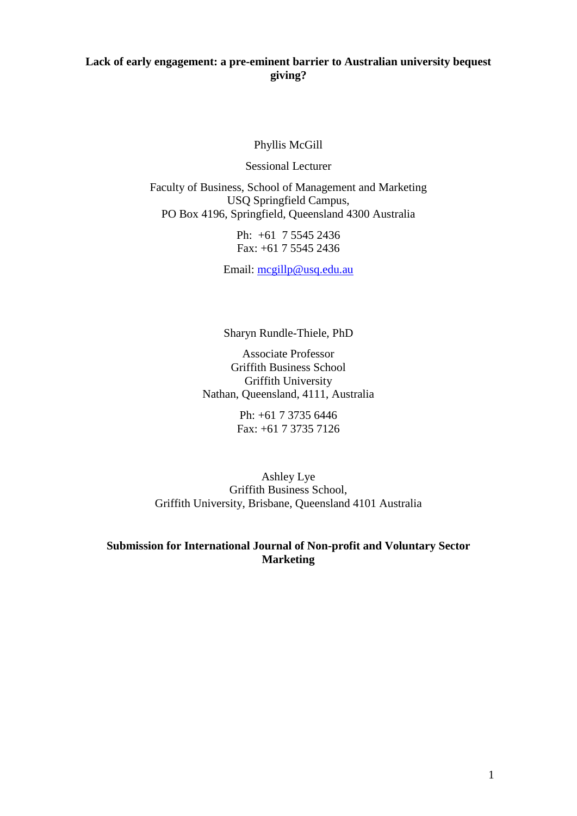# **Lack of early engagement: a pre-eminent barrier to Australian university bequest giving?**

Phyllis McGill

Sessional Lecturer

Faculty of Business, School of Management and Marketing USQ Springfield Campus, PO Box 4196, Springfield, Queensland 4300 Australia

> Ph: +61 7 5545 2436 Fax: +61 7 5545 2436

Email: [mcgillp@usq.edu.au](mailto:mcgillp@usq.edu.au)

Sharyn Rundle-Thiele, PhD

Associate Professor Griffith Business School Griffith University Nathan, Queensland, 4111, Australia

> Ph: +61 7 3735 6446 Fax: +61 7 3735 7126

Ashley Lye Griffith Business School, Griffith University, Brisbane, Queensland 4101 Australia

**Submission for International Journal of Non-profit and Voluntary Sector Marketing**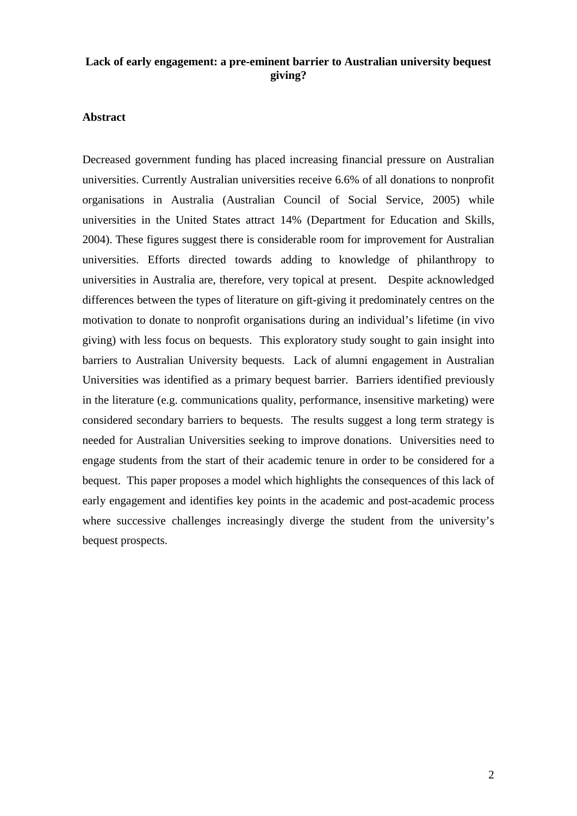# **Lack of early engagement: a pre-eminent barrier to Australian university bequest giving?**

#### **Abstract**

Decreased government funding has placed increasing financial pressure on Australian universities. Currently Australian universities receive 6.6% of all donations to nonprofit organisations in Australia (Australian Council of Social Service, 2005) while universities in the United States attract 14% (Department for Education and Skills, 2004). These figures suggest there is considerable room for improvement for Australian universities. Efforts directed towards adding to knowledge of philanthropy to universities in Australia are, therefore, very topical at present. Despite acknowledged differences between the types of literature on gift-giving it predominately centres on the motivation to donate to nonprofit organisations during an individual's lifetime (in vivo giving) with less focus on bequests. This exploratory study sought to gain insight into barriers to Australian University bequests. Lack of alumni engagement in Australian Universities was identified as a primary bequest barrier. Barriers identified previously in the literature (e.g. communications quality, performance, insensitive marketing) were considered secondary barriers to bequests. The results suggest a long term strategy is needed for Australian Universities seeking to improve donations. Universities need to engage students from the start of their academic tenure in order to be considered for a bequest. This paper proposes a model which highlights the consequences of this lack of early engagement and identifies key points in the academic and post-academic process where successive challenges increasingly diverge the student from the university's bequest prospects.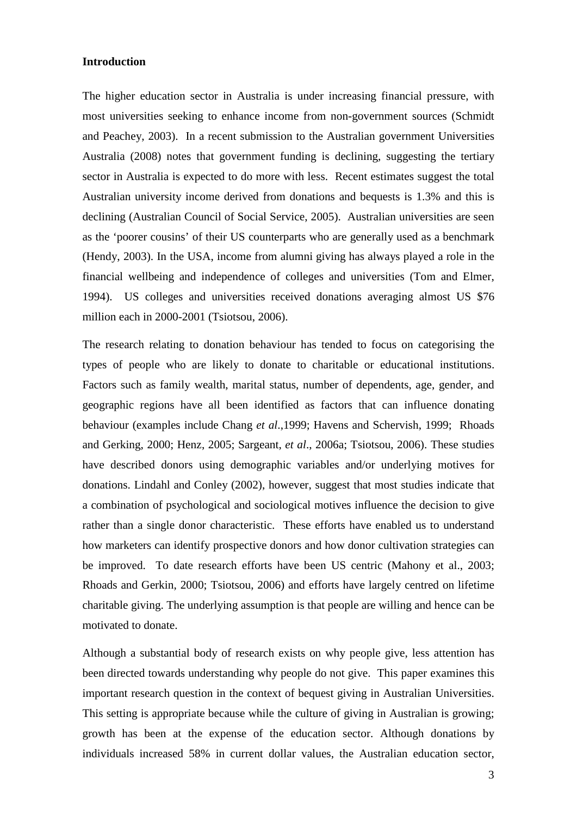## **Introduction**

The higher education sector in Australia is under increasing financial pressure, with most universities seeking to enhance income from non-government sources (Schmidt and Peachey, 2003). In a recent submission to the Australian government Universities Australia (2008) notes that government funding is declining, suggesting the tertiary sector in Australia is expected to do more with less. Recent estimates suggest the total Australian university income derived from donations and bequests is 1.3% and this is declining (Australian Council of Social Service, 2005). Australian universities are seen as the 'poorer cousins' of their US counterparts who are generally used as a benchmark (Hendy, 2003). In the USA, income from alumni giving has always played a role in the financial wellbeing and independence of colleges and universities (Tom and Elmer, 1994). US colleges and universities received donations averaging almost US \$76 million each in 2000-2001 (Tsiotsou, 2006).

The research relating to donation behaviour has tended to focus on categorising the types of people who are likely to donate to charitable or educational institutions. Factors such as family wealth, marital status, number of dependents, age, gender, and geographic regions have all been identified as factors that can influence donating behaviour (examples include Chang *et al*.,1999; Havens and Schervish, 1999; Rhoads and Gerking, 2000; Henz, 2005; Sargeant, *et al*., 2006a; Tsiotsou, 2006). These studies have described donors using demographic variables and/or underlying motives for donations. Lindahl and Conley (2002), however, suggest that most studies indicate that a combination of psychological and sociological motives influence the decision to give rather than a single donor characteristic. These efforts have enabled us to understand how marketers can identify prospective donors and how donor cultivation strategies can be improved. To date research efforts have been US centric (Mahony et al., 2003; Rhoads and Gerkin, 2000; Tsiotsou, 2006) and efforts have largely centred on lifetime charitable giving. The underlying assumption is that people are willing and hence can be motivated to donate.

Although a substantial body of research exists on why people give, less attention has been directed towards understanding why people do not give. This paper examines this important research question in the context of bequest giving in Australian Universities. This setting is appropriate because while the culture of giving in Australian is growing; growth has been at the expense of the education sector. Although donations by individuals increased 58% in current dollar values, the Australian education sector,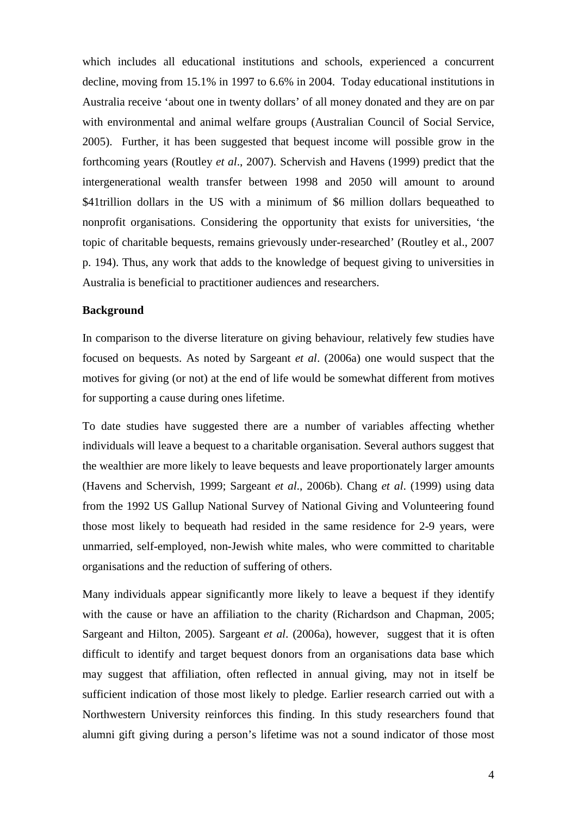which includes all educational institutions and schools, experienced a concurrent decline, moving from 15.1% in 1997 to 6.6% in 2004. Today educational institutions in Australia receive 'about one in twenty dollars' of all money donated and they are on par with environmental and animal welfare groups (Australian Council of Social Service, 2005). Further, it has been suggested that bequest income will possible grow in the forthcoming years (Routley *et al*., 2007). Schervish and Havens (1999) predict that the intergenerational wealth transfer between 1998 and 2050 will amount to around \$41trillion dollars in the US with a minimum of \$6 million dollars bequeathed to nonprofit organisations. Considering the opportunity that exists for universities, 'the topic of charitable bequests, remains grievously under-researched' (Routley et al., 2007 p. 194). Thus, any work that adds to the knowledge of bequest giving to universities in Australia is beneficial to practitioner audiences and researchers.

#### **Background**

In comparison to the diverse literature on giving behaviour, relatively few studies have focused on bequests. As noted by Sargeant *et al*. (2006a) one would suspect that the motives for giving (or not) at the end of life would be somewhat different from motives for supporting a cause during ones lifetime.

To date studies have suggested there are a number of variables affecting whether individuals will leave a bequest to a charitable organisation. Several authors suggest that the wealthier are more likely to leave bequests and leave proportionately larger amounts (Havens and Schervish, 1999; Sargeant *et al*., 2006b). Chang *et al*. (1999) using data from the 1992 US Gallup National Survey of National Giving and Volunteering found those most likely to bequeath had resided in the same residence for 2-9 years, were unmarried, self-employed, non-Jewish white males, who were committed to charitable organisations and the reduction of suffering of others.

Many individuals appear significantly more likely to leave a bequest if they identify with the cause or have an affiliation to the charity (Richardson and Chapman, 2005; Sargeant and Hilton, 2005). Sargeant *et al*. (2006a), however, suggest that it is often difficult to identify and target bequest donors from an organisations data base which may suggest that affiliation, often reflected in annual giving, may not in itself be sufficient indication of those most likely to pledge. Earlier research carried out with a Northwestern University reinforces this finding. In this study researchers found that alumni gift giving during a person's lifetime was not a sound indicator of those most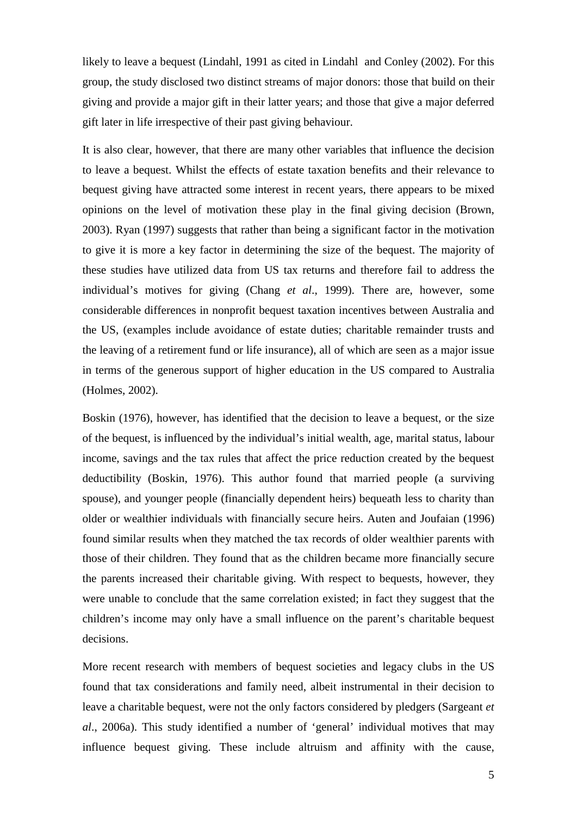likely to leave a bequest (Lindahl, 1991 as cited in Lindahl and Conley (2002). For this group, the study disclosed two distinct streams of major donors: those that build on their giving and provide a major gift in their latter years; and those that give a major deferred gift later in life irrespective of their past giving behaviour.

It is also clear, however, that there are many other variables that influence the decision to leave a bequest. Whilst the effects of estate taxation benefits and their relevance to bequest giving have attracted some interest in recent years, there appears to be mixed opinions on the level of motivation these play in the final giving decision (Brown, 2003). Ryan (1997) suggests that rather than being a significant factor in the motivation to give it is more a key factor in determining the size of the bequest. The majority of these studies have utilized data from US tax returns and therefore fail to address the individual's motives for giving (Chang *et al*., 1999). There are, however, some considerable differences in nonprofit bequest taxation incentives between Australia and the US, (examples include avoidance of estate duties; charitable remainder trusts and the leaving of a retirement fund or life insurance), all of which are seen as a major issue in terms of the generous support of higher education in the US compared to Australia (Holmes, 2002).

Boskin (1976), however, has identified that the decision to leave a bequest, or the size of the bequest, is influenced by the individual's initial wealth, age, marital status, labour income, savings and the tax rules that affect the price reduction created by the bequest deductibility (Boskin, 1976). This author found that married people (a surviving spouse), and younger people (financially dependent heirs) bequeath less to charity than older or wealthier individuals with financially secure heirs. Auten and Joufaian (1996) found similar results when they matched the tax records of older wealthier parents with those of their children. They found that as the children became more financially secure the parents increased their charitable giving. With respect to bequests, however, they were unable to conclude that the same correlation existed; in fact they suggest that the children's income may only have a small influence on the parent's charitable bequest decisions.

More recent research with members of bequest societies and legacy clubs in the US found that tax considerations and family need, albeit instrumental in their decision to leave a charitable bequest, were not the only factors considered by pledgers (Sargeant *et al*., 2006a). This study identified a number of 'general' individual motives that may influence bequest giving. These include altruism and affinity with the cause,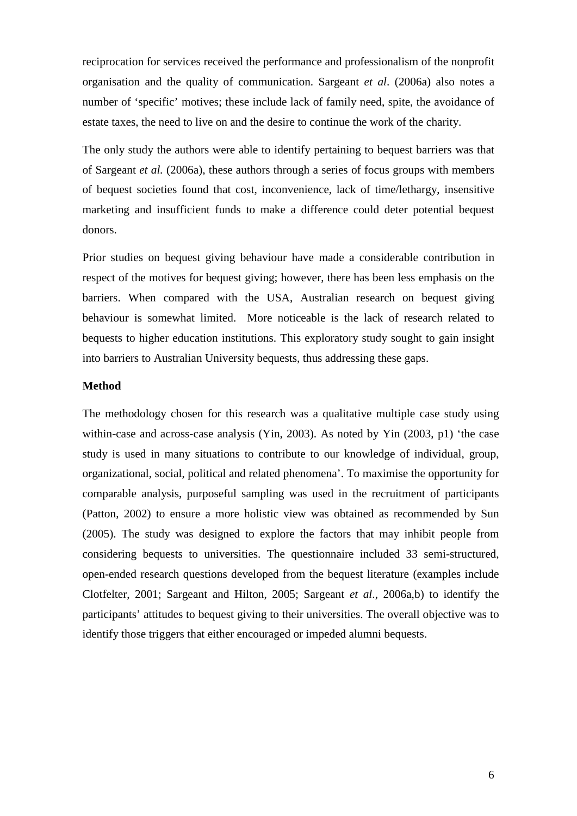reciprocation for services received the performance and professionalism of the nonprofit organisation and the quality of communication. Sargeant *et al*. (2006a) also notes a number of 'specific' motives; these include lack of family need, spite, the avoidance of estate taxes, the need to live on and the desire to continue the work of the charity.

The only study the authors were able to identify pertaining to bequest barriers was that of Sargeant *et al.* (2006a), these authors through a series of focus groups with members of bequest societies found that cost, inconvenience, lack of time/lethargy, insensitive marketing and insufficient funds to make a difference could deter potential bequest donors.

Prior studies on bequest giving behaviour have made a considerable contribution in respect of the motives for bequest giving; however, there has been less emphasis on the barriers. When compared with the USA, Australian research on bequest giving behaviour is somewhat limited. More noticeable is the lack of research related to bequests to higher education institutions. This exploratory study sought to gain insight into barriers to Australian University bequests, thus addressing these gaps.

#### **Method**

The methodology chosen for this research was a qualitative multiple case study using within-case and across-case analysis (Yin, 2003). As noted by Yin (2003, p1) 'the case study is used in many situations to contribute to our knowledge of individual, group, organizational, social, political and related phenomena'. To maximise the opportunity for comparable analysis, purposeful sampling was used in the recruitment of participants (Patton, 2002) to ensure a more holistic view was obtained as recommended by Sun (2005). The study was designed to explore the factors that may inhibit people from considering bequests to universities. The questionnaire included 33 semi-structured, open-ended research questions developed from the bequest literature (examples include Clotfelter, 2001; Sargeant and Hilton, 2005; Sargeant *et al*., 2006a,b) to identify the participants' attitudes to bequest giving to their universities. The overall objective was to identify those triggers that either encouraged or impeded alumni bequests.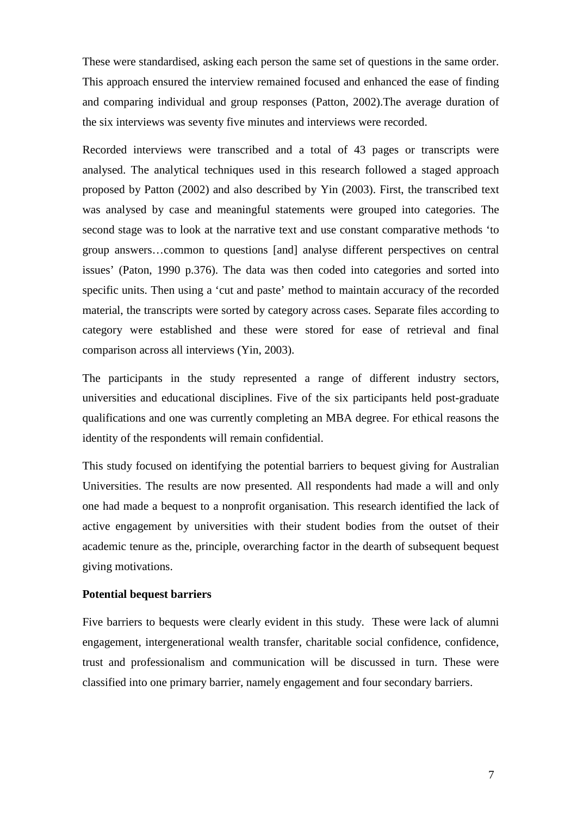These were standardised, asking each person the same set of questions in the same order. This approach ensured the interview remained focused and enhanced the ease of finding and comparing individual and group responses (Patton, 2002).The average duration of the six interviews was seventy five minutes and interviews were recorded.

Recorded interviews were transcribed and a total of 43 pages or transcripts were analysed. The analytical techniques used in this research followed a staged approach proposed by Patton (2002) and also described by Yin (2003). First, the transcribed text was analysed by case and meaningful statements were grouped into categories. The second stage was to look at the narrative text and use constant comparative methods 'to group answers…common to questions [and] analyse different perspectives on central issues' (Paton, 1990 p.376). The data was then coded into categories and sorted into specific units. Then using a 'cut and paste' method to maintain accuracy of the recorded material, the transcripts were sorted by category across cases. Separate files according to category were established and these were stored for ease of retrieval and final comparison across all interviews (Yin, 2003).

The participants in the study represented a range of different industry sectors, universities and educational disciplines. Five of the six participants held post-graduate qualifications and one was currently completing an MBA degree. For ethical reasons the identity of the respondents will remain confidential.

This study focused on identifying the potential barriers to bequest giving for Australian Universities. The results are now presented. All respondents had made a will and only one had made a bequest to a nonprofit organisation. This research identified the lack of active engagement by universities with their student bodies from the outset of their academic tenure as the, principle, overarching factor in the dearth of subsequent bequest giving motivations.

## **Potential bequest barriers**

Five barriers to bequests were clearly evident in this study. These were lack of alumni engagement, intergenerational wealth transfer, charitable social confidence, confidence, trust and professionalism and communication will be discussed in turn. These were classified into one primary barrier, namely engagement and four secondary barriers.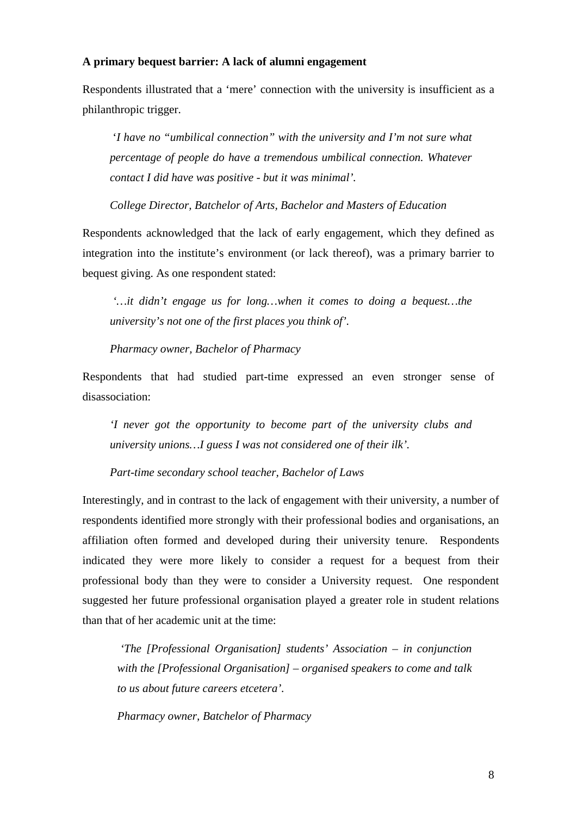# **A primary bequest barrier: A lack of alumni engagement**

Respondents illustrated that a 'mere' connection with the university is insufficient as a philanthropic trigger.

'*I have no "umbilical connection" with the university and I'm not sure what percentage of people do have a tremendous umbilical connection. Whatever contact I did have was positive - but it was minimal'.*

*College Director, Batchelor of Arts, Bachelor and Masters of Education* 

Respondents acknowledged that the lack of early engagement, which they defined as integration into the institute's environment (or lack thereof), was a primary barrier to bequest giving. As one respondent stated:

*'…it didn't engage us for long…when it comes to doing a bequest…the university's not one of the first places you think of'.*

*Pharmacy owner, Bachelor of Pharmacy* 

Respondents that had studied part-time expressed an even stronger sense of disassociation:

*'I never got the opportunity to become part of the university clubs and university unions…I guess I was not considered one of their ilk'.*

*Part-time secondary school teacher, Bachelor of Laws*

Interestingly, and in contrast to the lack of engagement with their university, a number of respondents identified more strongly with their professional bodies and organisations, an affiliation often formed and developed during their university tenure. Respondents indicated they were more likely to consider a request for a bequest from their professional body than they were to consider a University request. One respondent suggested her future professional organisation played a greater role in student relations than that of her academic unit at the time:

*'The [Professional Organisation] students' Association – in conjunction with the [Professional Organisation] – organised speakers to come and talk to us about future careers etcetera'.*

 *Pharmacy owner, Batchelor of Pharmacy*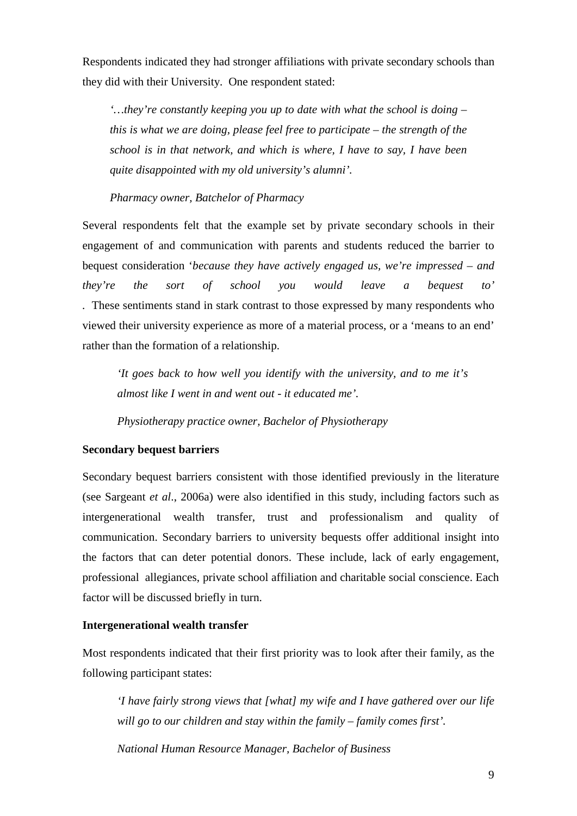Respondents indicated they had stronger affiliations with private secondary schools than they did with their University. One respondent stated:

*'…they're constantly keeping you up to date with what the school is doing – this is what we are doing, please feel free to participate – the strength of the school is in that network, and which is where, I have to say, I have been quite disappointed with my old university's alumni'.*

*Pharmacy owner, Batchelor of Pharmacy* 

Several respondents felt that the example set by private secondary schools in their engagement of and communication with parents and students reduced the barrier to bequest consideration '*because they have actively engaged us, we're impressed – and they're the sort of school you would leave a bequest to' .* These sentiments stand in stark contrast to those expressed by many respondents who viewed their university experience as more of a material process, or a 'means to an end' rather than the formation of a relationship.

*'It goes back to how well you identify with the university, and to me it's almost like I went in and went out - it educated me'.*

*Physiotherapy practice owner, Bachelor of Physiotherapy* 

## **Secondary bequest barriers**

Secondary bequest barriers consistent with those identified previously in the literature (see Sargeant *et al*., 2006a) were also identified in this study, including factors such as intergenerational wealth transfer, trust and professionalism and quality of communication. Secondary barriers to university bequests offer additional insight into the factors that can deter potential donors. These include, lack of early engagement, professional allegiances, private school affiliation and charitable social conscience. Each factor will be discussed briefly in turn.

## **Intergenerational wealth transfer**

Most respondents indicated that their first priority was to look after their family, as the following participant states:

*'I have fairly strong views that [what] my wife and I have gathered over our life will go to our children and stay within the family – family comes first'.* 

*National Human Resource Manager, Bachelor of Business*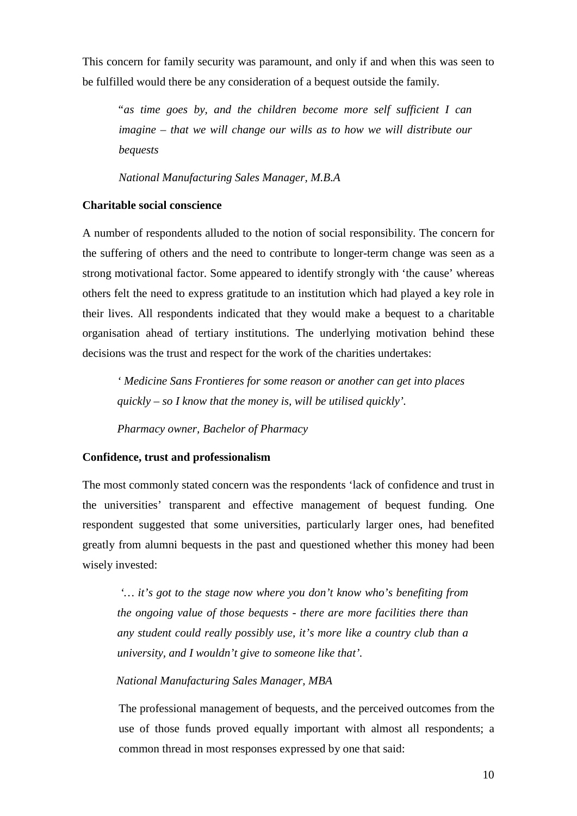This concern for family security was paramount, and only if and when this was seen to be fulfilled would there be any consideration of a bequest outside the family.

*"as time goes by, and the children become more self sufficient I can imagine – that we will change our wills as to how we will distribute our bequests*

*National Manufacturing Sales Manager, M.B.A*

### **Charitable social conscience**

A number of respondents alluded to the notion of social responsibility. The concern for the suffering of others and the need to contribute to longer-term change was seen as a strong motivational factor. Some appeared to identify strongly with 'the cause' whereas others felt the need to express gratitude to an institution which had played a key role in their lives. All respondents indicated that they would make a bequest to a charitable organisation ahead of tertiary institutions. The underlying motivation behind these decisions was the trust and respect for the work of the charities undertakes:

*' Medicine Sans Frontieres for some reason or another can get into places quickly – so I know that the money is, will be utilised quickly'.*

 *Pharmacy owner, Bachelor of Pharmacy* 

### **Confidence, trust and professionalism**

The most commonly stated concern was the respondents 'lack of confidence and trust in the universities' transparent and effective management of bequest funding. One respondent suggested that some universities, particularly larger ones, had benefited greatly from alumni bequests in the past and questioned whether this money had been wisely invested:

*'… it's got to the stage now where you don't know who's benefiting from the ongoing value of those bequests - there are more facilities there than any student could really possibly use, it's more like a country club than a university, and I wouldn't give to someone like that'.*

### *National Manufacturing Sales Manager, MBA*

The professional management of bequests, and the perceived outcomes from the use of those funds proved equally important with almost all respondents; a common thread in most responses expressed by one that said: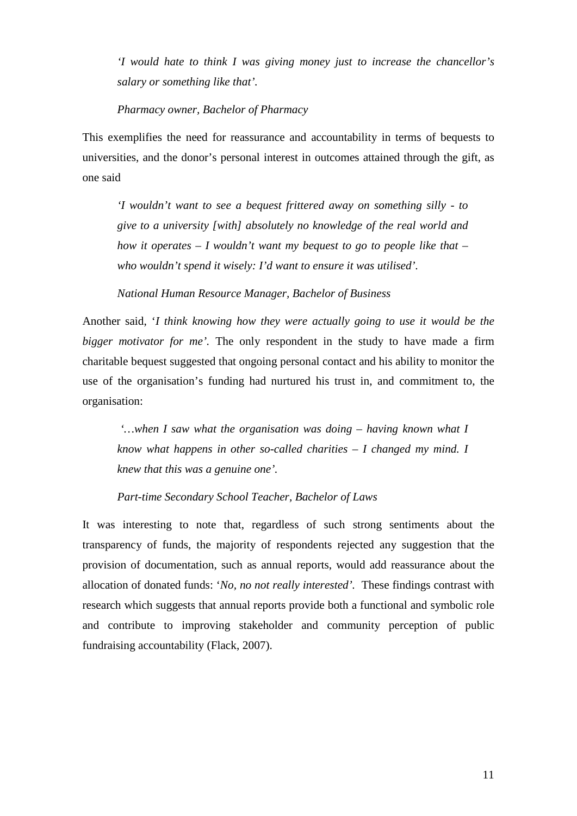*'I would hate to think I was giving money just to increase the chancellor's salary or something like that'.*

*Pharmacy owner, Bachelor of Pharmacy*

This exemplifies the need for reassurance and accountability in terms of bequests to universities, and the donor's personal interest in outcomes attained through the gift, as one said

*'I wouldn't want to see a bequest frittered away on something silly - to give to a university [with] absolutely no knowledge of the real world and how it operates – I wouldn't want my bequest to go to people like that – who wouldn't spend it wisely: I'd want to ensure it was utilised'.*

*National Human Resource Manager, Bachelor of Business* 

Another said, '*I think knowing how they were actually going to use it would be the bigger motivator for me'.* The only respondent in the study to have made a firm charitable bequest suggested that ongoing personal contact and his ability to monitor the use of the organisation's funding had nurtured his trust in, and commitment to, the organisation:

*'…when I saw what the organisation was doing – having known what I know what happens in other so-called charities – I changed my mind. I knew that this was a genuine one'.*

*Part-time Secondary School Teacher, Bachelor of Laws*

It was interesting to note that, regardless of such strong sentiments about the transparency of funds, the majority of respondents rejected any suggestion that the provision of documentation, such as annual reports, would add reassurance about the allocation of donated funds: '*No, no not really interested'.* These findings contrast with research which suggests that annual reports provide both a functional and symbolic role and contribute to improving stakeholder and community perception of public fundraising accountability (Flack, 2007).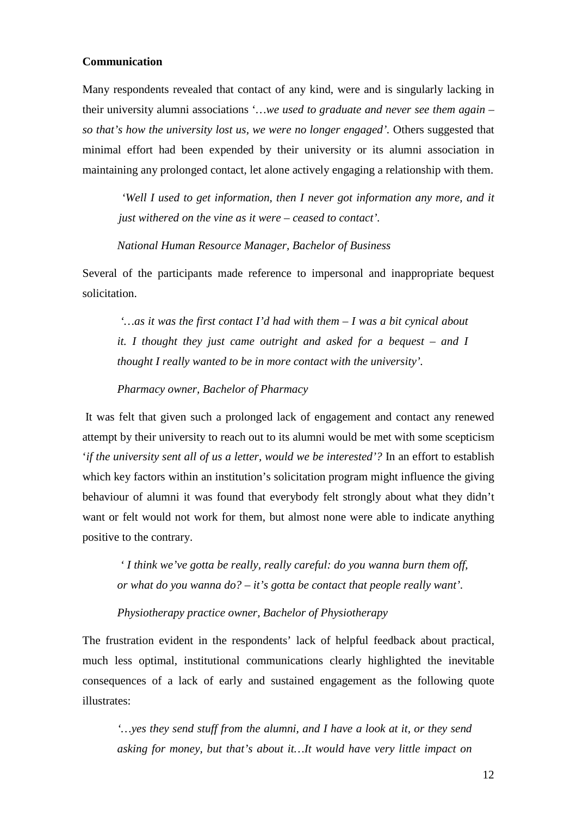## **Communication**

Many respondents revealed that contact of any kind, were and is singularly lacking in their university alumni associations '*…we used to graduate and never see them again – so that's how the university lost us, we were no longer engaged'.* Others suggested that minimal effort had been expended by their university or its alumni association in maintaining any prolonged contact, let alone actively engaging a relationship with them.

*'Well I used to get information, then I never got information any more, and it just withered on the vine as it were – ceased to contact'.*

*National Human Resource Manager, Bachelor of Business* 

Several of the participants made reference to impersonal and inappropriate bequest solicitation.

*'…as it was the first contact I'd had with them – I was a bit cynical about it. I thought they just came outright and asked for a bequest – and I thought I really wanted to be in more contact with the university'.*

*Pharmacy owner, Bachelor of Pharmacy*

It was felt that given such a prolonged lack of engagement and contact any renewed attempt by their university to reach out to its alumni would be met with some scepticism '*if the university sent all of us a letter, would we be interested'?* In an effort to establish which key factors within an institution's solicitation program might influence the giving behaviour of alumni it was found that everybody felt strongly about what they didn't want or felt would not work for them, but almost none were able to indicate anything positive to the contrary.

*' I think we've gotta be really, really careful: do you wanna burn them off, or what do you wanna do? – it's gotta be contact that people really want'.*

#### *Physiotherapy practice owner, Bachelor of Physiotherapy*

The frustration evident in the respondents' lack of helpful feedback about practical, much less optimal, institutional communications clearly highlighted the inevitable consequences of a lack of early and sustained engagement as the following quote illustrates:

*'…yes they send stuff from the alumni, and I have a look at it, or they send asking for money, but that's about it…It would have very little impact on*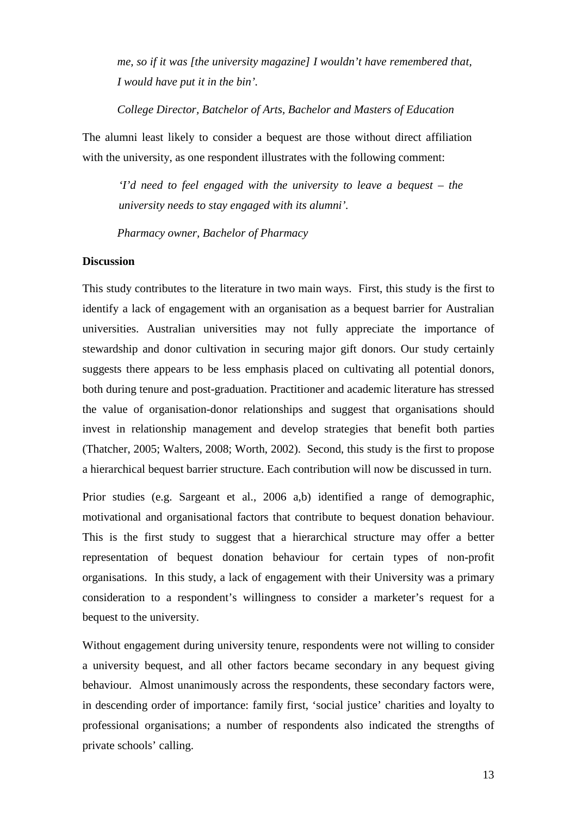*me, so if it was [the university magazine] I wouldn't have remembered that, I would have put it in the bin'.*

*College Director, Batchelor of Arts, Bachelor and Masters of Education* 

The alumni least likely to consider a bequest are those without direct affiliation with the university, as one respondent illustrates with the following comment:

*'I'd need to feel engaged with the university to leave a bequest – the university needs to stay engaged with its alumni'.*

*Pharmacy owner, Bachelor of Pharmacy*

### **Discussion**

This study contributes to the literature in two main ways. First, this study is the first to identify a lack of engagement with an organisation as a bequest barrier for Australian universities. Australian universities may not fully appreciate the importance of stewardship and donor cultivation in securing major gift donors. Our study certainly suggests there appears to be less emphasis placed on cultivating all potential donors, both during tenure and post-graduation. Practitioner and academic literature has stressed the value of organisation-donor relationships and suggest that organisations should invest in relationship management and develop strategies that benefit both parties (Thatcher, 2005; Walters, 2008; Worth, 2002). Second, this study is the first to propose a hierarchical bequest barrier structure. Each contribution will now be discussed in turn.

Prior studies (e.g. Sargeant et al., 2006 a,b) identified a range of demographic, motivational and organisational factors that contribute to bequest donation behaviour. This is the first study to suggest that a hierarchical structure may offer a better representation of bequest donation behaviour for certain types of non-profit organisations. In this study, a lack of engagement with their University was a primary consideration to a respondent's willingness to consider a marketer's request for a bequest to the university.

Without engagement during university tenure, respondents were not willing to consider a university bequest, and all other factors became secondary in any bequest giving behaviour. Almost unanimously across the respondents, these secondary factors were, in descending order of importance: family first, 'social justice' charities and loyalty to professional organisations; a number of respondents also indicated the strengths of private schools' calling.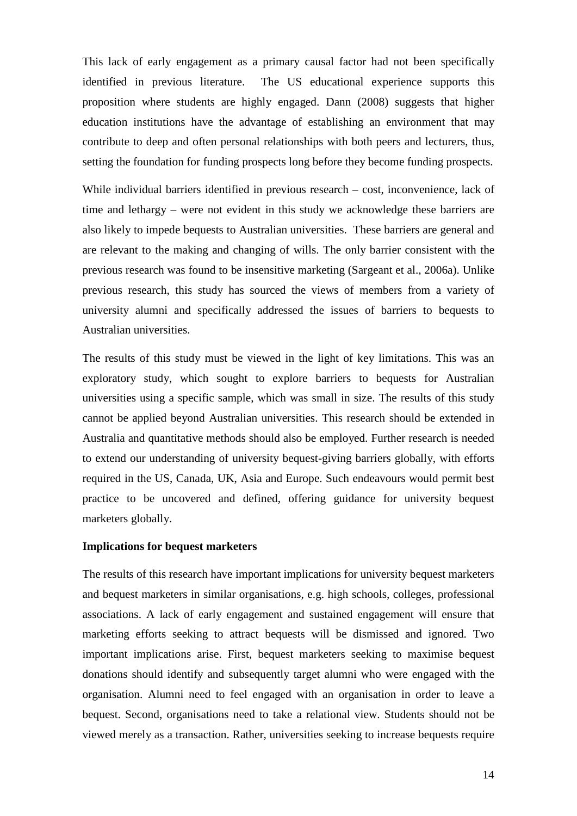This lack of early engagement as a primary causal factor had not been specifically identified in previous literature. The US educational experience supports this proposition where students are highly engaged. Dann (2008) suggests that higher education institutions have the advantage of establishing an environment that may contribute to deep and often personal relationships with both peers and lecturers, thus, setting the foundation for funding prospects long before they become funding prospects.

While individual barriers identified in previous research – cost, inconvenience, lack of time and lethargy – were not evident in this study we acknowledge these barriers are also likely to impede bequests to Australian universities. These barriers are general and are relevant to the making and changing of wills. The only barrier consistent with the previous research was found to be insensitive marketing (Sargeant et al., 2006a). Unlike previous research, this study has sourced the views of members from a variety of university alumni and specifically addressed the issues of barriers to bequests to Australian universities.

The results of this study must be viewed in the light of key limitations. This was an exploratory study, which sought to explore barriers to bequests for Australian universities using a specific sample, which was small in size. The results of this study cannot be applied beyond Australian universities. This research should be extended in Australia and quantitative methods should also be employed. Further research is needed to extend our understanding of university bequest-giving barriers globally, with efforts required in the US, Canada, UK, Asia and Europe. Such endeavours would permit best practice to be uncovered and defined, offering guidance for university bequest marketers globally.

### **Implications for bequest marketers**

The results of this research have important implications for university bequest marketers and bequest marketers in similar organisations, e.g. high schools, colleges, professional associations. A lack of early engagement and sustained engagement will ensure that marketing efforts seeking to attract bequests will be dismissed and ignored. Two important implications arise. First, bequest marketers seeking to maximise bequest donations should identify and subsequently target alumni who were engaged with the organisation. Alumni need to feel engaged with an organisation in order to leave a bequest. Second, organisations need to take a relational view. Students should not be viewed merely as a transaction. Rather, universities seeking to increase bequests require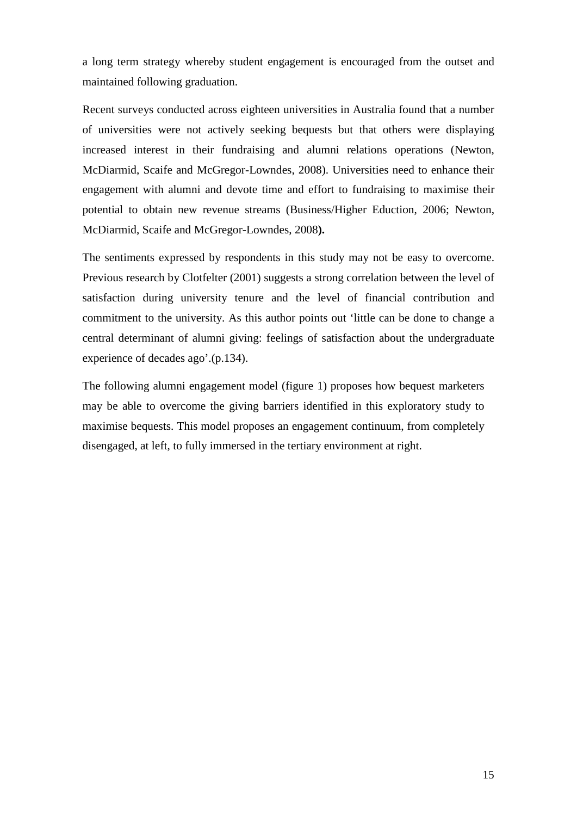a long term strategy whereby student engagement is encouraged from the outset and maintained following graduation.

Recent surveys conducted across eighteen universities in Australia found that a number of universities were not actively seeking bequests but that others were displaying increased interest in their fundraising and alumni relations operations (Newton, McDiarmid, Scaife and McGregor-Lowndes, 2008). Universities need to enhance their engagement with alumni and devote time and effort to fundraising to maximise their potential to obtain new revenue streams (Business/Higher Eduction, 2006; Newton, McDiarmid, Scaife and McGregor-Lowndes, 2008**).** 

The sentiments expressed by respondents in this study may not be easy to overcome. Previous research by Clotfelter (2001) suggests a strong correlation between the level of satisfaction during university tenure and the level of financial contribution and commitment to the university. As this author points out 'little can be done to change a central determinant of alumni giving: feelings of satisfaction about the undergraduate experience of decades ago'.(p.134).

The following alumni engagement model (figure 1) proposes how bequest marketers may be able to overcome the giving barriers identified in this exploratory study to maximise bequests. This model proposes an engagement continuum, from completely disengaged, at left, to fully immersed in the tertiary environment at right.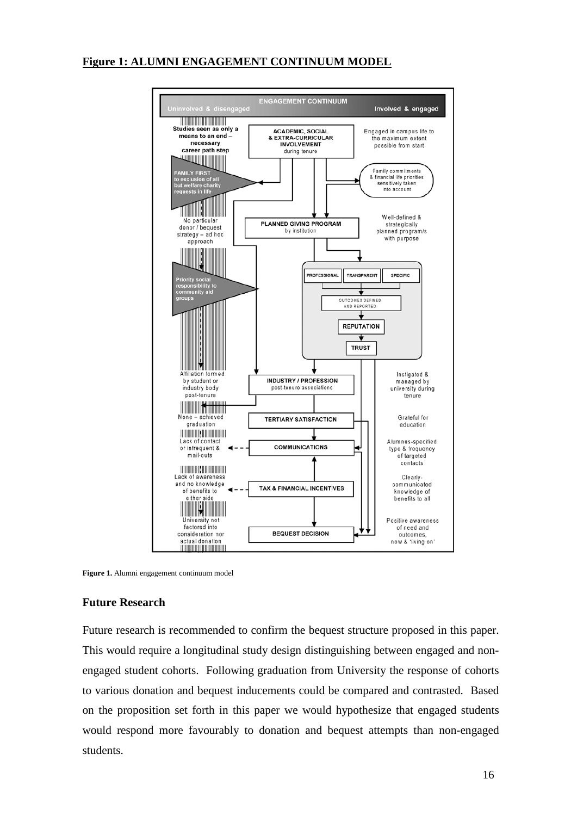# **Figure 1: ALUMNI ENGAGEMENT CONTINUUM MODEL**



**Figure 1.** Alumni engagement continuum model

#### **Future Research**

Future research is recommended to confirm the bequest structure proposed in this paper. This would require a longitudinal study design distinguishing between engaged and nonengaged student cohorts. Following graduation from University the response of cohorts to various donation and bequest inducements could be compared and contrasted. Based on the proposition set forth in this paper we would hypothesize that engaged students would respond more favourably to donation and bequest attempts than non-engaged students.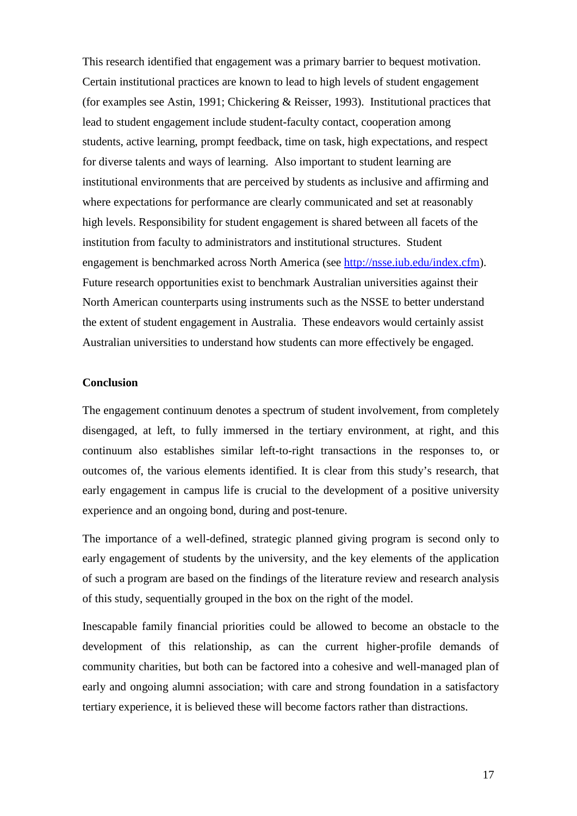This research identified that engagement was a primary barrier to bequest motivation. Certain institutional practices are known to lead to high levels of student engagement (for examples see Astin, 1991; Chickering & Reisser, 1993). Institutional practices that lead to student engagement include student-faculty contact, cooperation among students, active learning, prompt feedback, time on task, high expectations, and respect for diverse talents and ways of learning. Also important to student learning are institutional environments that are perceived by students as inclusive and affirming and where expectations for performance are clearly communicated and set at reasonably high levels. Responsibility for student engagement is shared between all facets of the institution from faculty to administrators and institutional structures. Student engagement is benchmarked across North America (see [http://nsse.iub.edu/index.cfm\)](http://nsse.iub.edu/index.cfm). Future research opportunities exist to benchmark Australian universities against their North American counterparts using instruments such as the NSSE to better understand the extent of student engagement in Australia. These endeavors would certainly assist Australian universities to understand how students can more effectively be engaged.

#### **Conclusion**

The engagement continuum denotes a spectrum of student involvement, from completely disengaged, at left, to fully immersed in the tertiary environment, at right, and this continuum also establishes similar left-to-right transactions in the responses to, or outcomes of, the various elements identified. It is clear from this study's research, that early engagement in campus life is crucial to the development of a positive university experience and an ongoing bond, during and post-tenure.

The importance of a well-defined, strategic planned giving program is second only to early engagement of students by the university, and the key elements of the application of such a program are based on the findings of the literature review and research analysis of this study, sequentially grouped in the box on the right of the model.

Inescapable family financial priorities could be allowed to become an obstacle to the development of this relationship, as can the current higher-profile demands of community charities, but both can be factored into a cohesive and well-managed plan of early and ongoing alumni association; with care and strong foundation in a satisfactory tertiary experience, it is believed these will become factors rather than distractions.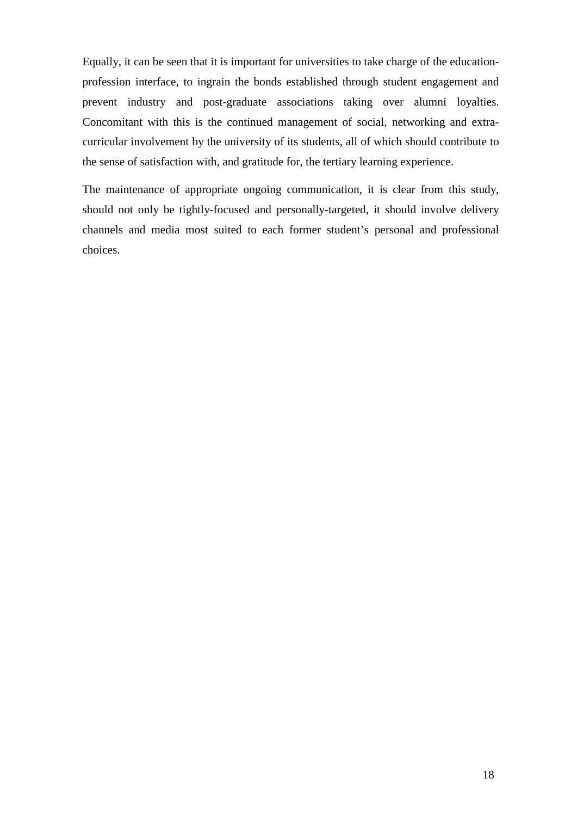Equally, it can be seen that it is important for universities to take charge of the educationprofession interface, to ingrain the bonds established through student engagement and prevent industry and post-graduate associations taking over alumni loyalties. Concomitant with this is the continued management of social, networking and extracurricular involvement by the university of its students, all of which should contribute to the sense of satisfaction with, and gratitude for, the tertiary learning experience.

The maintenance of appropriate ongoing communication, it is clear from this study, should not only be tightly-focused and personally-targeted, it should involve delivery channels and media most suited to each former student's personal and professional choices.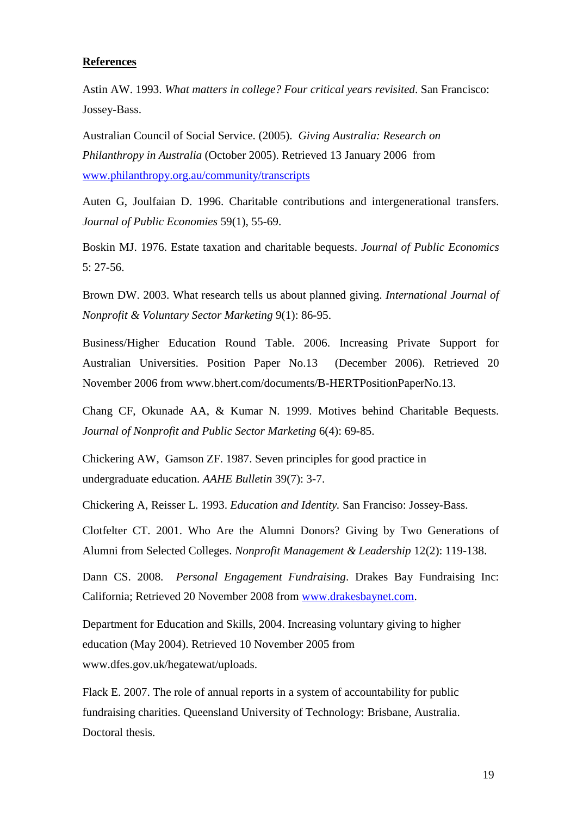#### **References**

Astin AW. 1993. *What matters in college? Four critical years revisited*. San Francisco: Jossey-Bass.

Australian Council of Social Service. (2005). *Giving Australia: Research on Philanthropy in Australia* (October 2005). Retrieved 13 January 2006 from [www.philanthropy.org.au/community/transcripts](http://www.philanthropy.org.au/community/transcripts)

Auten G, Joulfaian D. 1996. Charitable contributions and intergenerational transfers. *Journal of Public Economies* 59(1), 55-69.

Boskin MJ. 1976. Estate taxation and charitable bequests. *Journal of Public Economics* 5: 27-56.

Brown DW. 2003. What research tells us about planned giving. *International Journal of Nonprofit & Voluntary Sector Marketing* 9(1): 86-95.

Business/Higher Education Round Table. 2006. Increasing Private Support for Australian Universities. Position Paper No.13 (December 2006). Retrieved 20 November 2006 from www.bhert.com/documents/B-HERTPositionPaperNo.13.

Chang CF, Okunade AA, & Kumar N. 1999. Motives behind Charitable Bequests. *Journal of Nonprofit and Public Sector Marketing* 6(4): 69-85.

Chickering AW, Gamson ZF. 1987. Seven principles for good practice in undergraduate education. *AAHE Bulletin* 39(7): 3-7.

Chickering A, Reisser L. 1993. *Education and Identity.* San Franciso: Jossey-Bass.

Clotfelter CT. 2001. Who Are the Alumni Donors? Giving by Two Generations of Alumni from Selected Colleges. *Nonprofit Management & Leadership* 12(2): 119-138.

Dann CS. 2008. *Personal Engagement Fundraising*. Drakes Bay Fundraising Inc: California; Retrieved 20 November 2008 from [www.drakesbaynet.com.](http://www.drakesbaynet.com/)

Department for Education and Skills, 2004. Increasing voluntary giving to higher education (May 2004). Retrieved 10 November 2005 from www.dfes.gov.uk/hegatewat/uploads.

Flack E. 2007. The role of annual reports in a system of accountability for public fundraising charities. Queensland University of Technology: Brisbane, Australia. Doctoral thesis.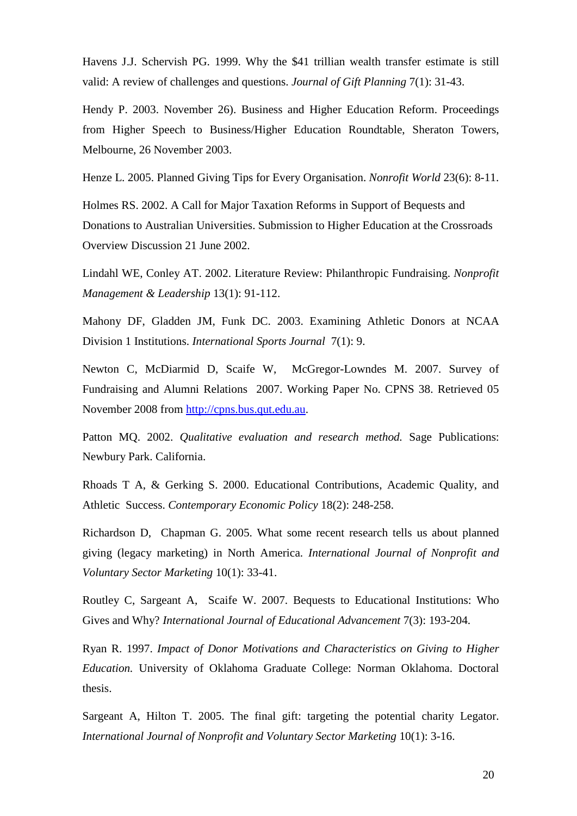Havens J.J. Schervish PG. 1999. Why the \$41 trillian wealth transfer estimate is still valid: A review of challenges and questions. *Journal of Gift Planning* 7(1): 31-43.

Hendy P. 2003. November 26). Business and Higher Education Reform. Proceedings from Higher Speech to Business/Higher Education Roundtable, Sheraton Towers, Melbourne, 26 November 2003.

Henze L. 2005. Planned Giving Tips for Every Organisation. *Nonrofit World* 23(6): 8-11.

Holmes RS. 2002. A Call for Major Taxation Reforms in Support of Bequests and Donations to Australian Universities. Submission to Higher Education at the Crossroads Overview Discussion 21 June 2002.

Lindahl WE, Conley AT. 2002. Literature Review: Philanthropic Fundraising. *Nonprofit Management & Leadership* 13(1): 91-112.

Mahony DF, Gladden JM, Funk DC. 2003. Examining Athletic Donors at NCAA Division 1 Institutions. *International Sports Journal* 7(1): 9.

Newton C, McDiarmid D, Scaife W, McGregor-Lowndes M. 2007. Survey of Fundraising and Alumni Relations 2007. Working Paper No. CPNS 38. Retrieved 05 November 2008 from [http://cpns.bus.qut.edu.au.](http://cpns.bus.qut.edu.au/)

Patton MQ. 2002. *Qualitative evaluation and research method.* Sage Publications: Newbury Park. California.

Rhoads T A, & Gerking S. 2000. Educational Contributions, Academic Quality, and Athletic Success. *Contemporary Economic Policy* 18(2): 248-258.

Richardson D, Chapman G. 2005. What some recent research tells us about planned giving (legacy marketing) in North America. *International Journal of Nonprofit and Voluntary Sector Marketing* 10(1): 33-41.

Routley C, Sargeant A, Scaife W. 2007. Bequests to Educational Institutions: Who Gives and Why? *International Journal of Educational Advancement* 7(3): 193-204.

Ryan R. 1997. *Impact of Donor Motivations and Characteristics on Giving to Higher Education.* University of Oklahoma Graduate College: Norman Oklahoma. Doctoral thesis.

Sargeant A, Hilton T. 2005. The final gift: targeting the potential charity Legator. *International Journal of Nonprofit and Voluntary Sector Marketing* 10(1): 3-16.